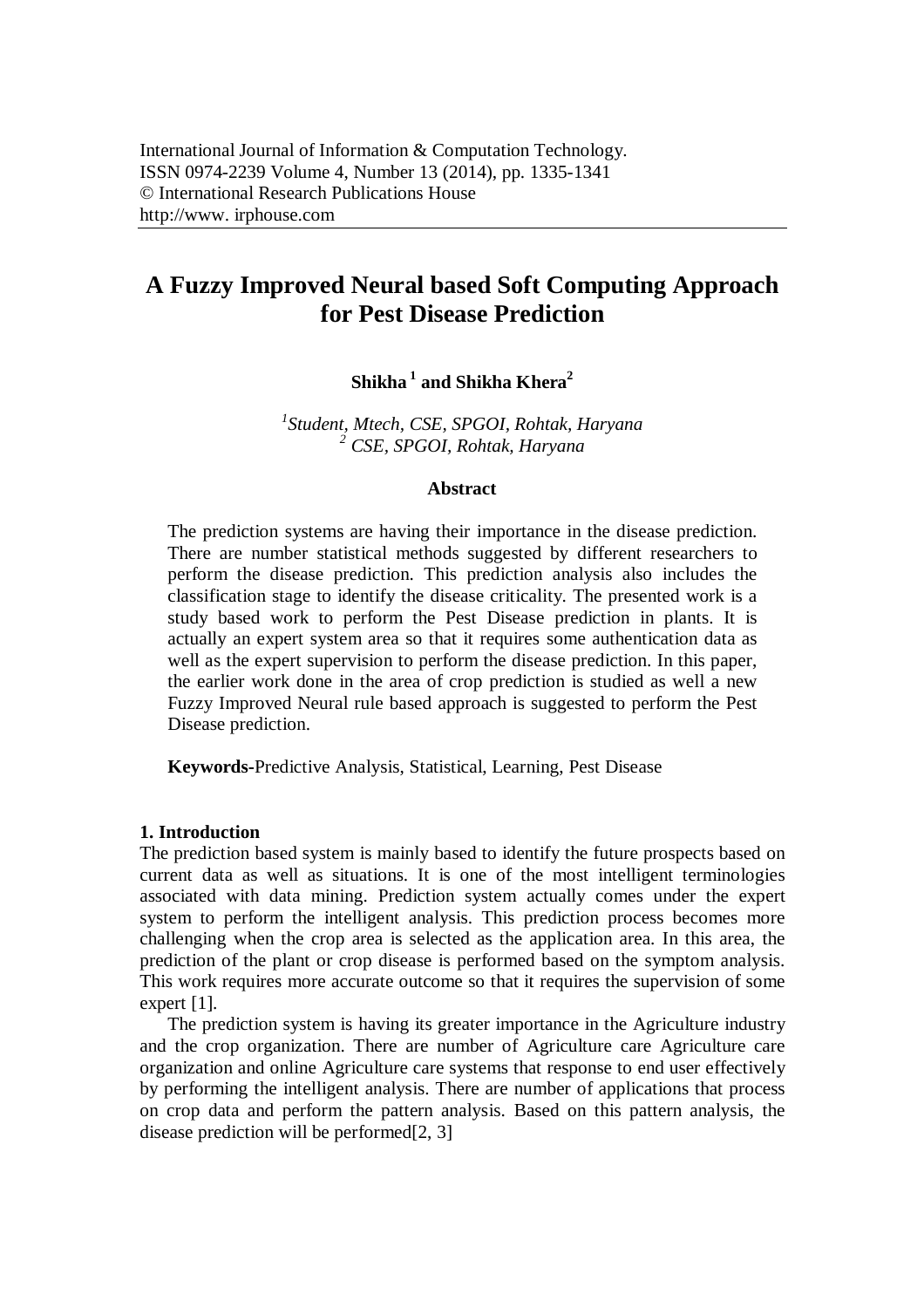# **A Fuzzy Improved Neural based Soft Computing Approach for Pest Disease Prediction**

# **Shikha <sup>1</sup> and Shikha Khera<sup>2</sup>**

*1 Student, Mtech, CSE, SPGOI, Rohtak, Haryana <sup>2</sup> CSE, SPGOI, Rohtak, Haryana*

#### **Abstract**

The prediction systems are having their importance in the disease prediction. There are number statistical methods suggested by different researchers to perform the disease prediction. This prediction analysis also includes the classification stage to identify the disease criticality. The presented work is a study based work to perform the Pest Disease prediction in plants. It is actually an expert system area so that it requires some authentication data as well as the expert supervision to perform the disease prediction. In this paper, the earlier work done in the area of crop prediction is studied as well a new Fuzzy Improved Neural rule based approach is suggested to perform the Pest Disease prediction.

**Keywords-**Predictive Analysis, Statistical, Learning, Pest Disease

#### **1. Introduction**

The prediction based system is mainly based to identify the future prospects based on current data as well as situations. It is one of the most intelligent terminologies associated with data mining. Prediction system actually comes under the expert system to perform the intelligent analysis. This prediction process becomes more challenging when the crop area is selected as the application area. In this area, the prediction of the plant or crop disease is performed based on the symptom analysis. This work requires more accurate outcome so that it requires the supervision of some expert [1].

The prediction system is having its greater importance in the Agriculture industry and the crop organization. There are number of Agriculture care Agriculture care organization and online Agriculture care systems that response to end user effectively by performing the intelligent analysis. There are number of applications that process on crop data and perform the pattern analysis. Based on this pattern analysis, the disease prediction will be performed<sup>[2, 3]</sup>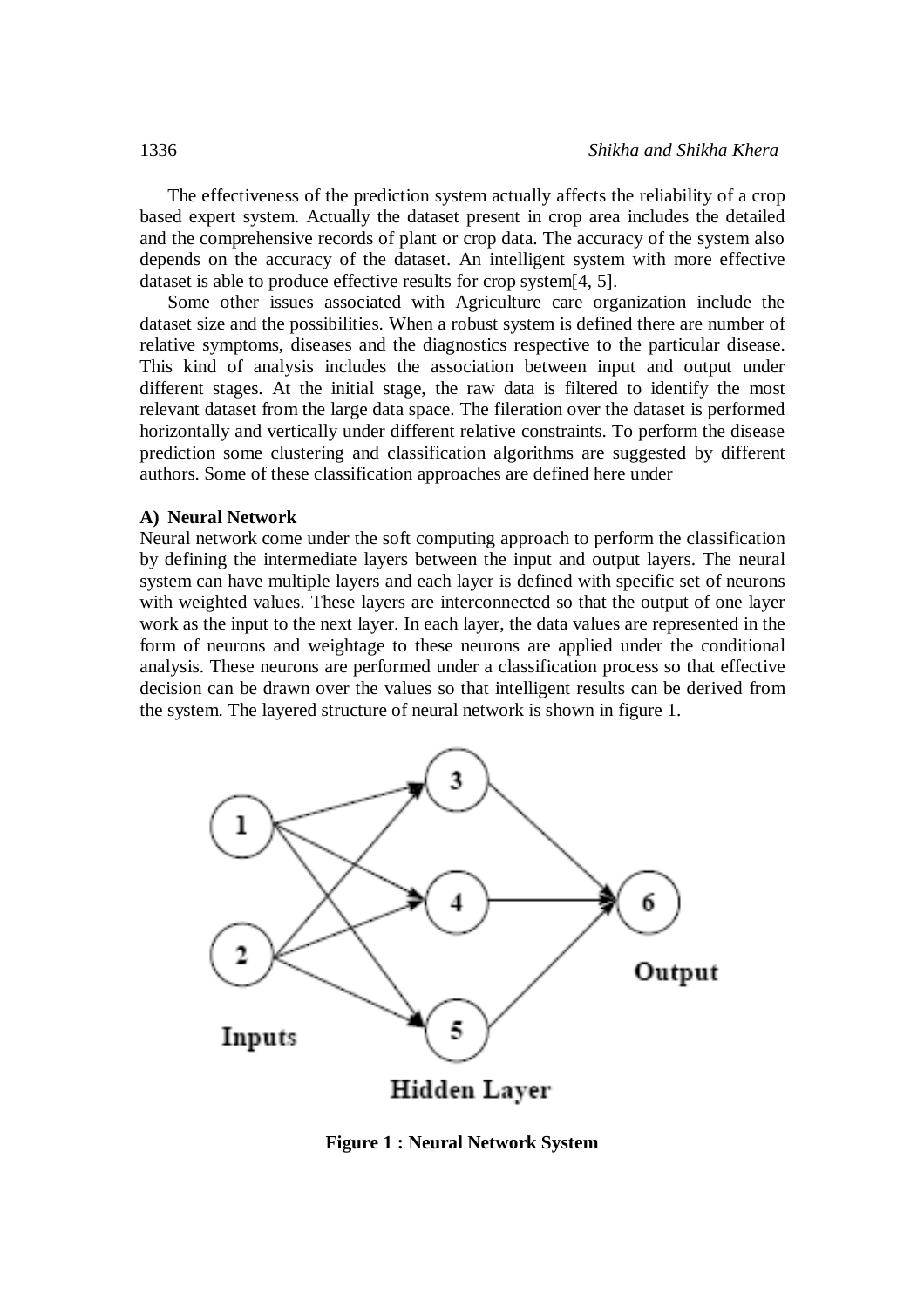The effectiveness of the prediction system actually affects the reliability of a crop based expert system. Actually the dataset present in crop area includes the detailed and the comprehensive records of plant or crop data. The accuracy of the system also depends on the accuracy of the dataset. An intelligent system with more effective dataset is able to produce effective results for crop system[4, 5].

Some other issues associated with Agriculture care organization include the dataset size and the possibilities. When a robust system is defined there are number of relative symptoms, diseases and the diagnostics respective to the particular disease. This kind of analysis includes the association between input and output under different stages. At the initial stage, the raw data is filtered to identify the most relevant dataset from the large data space. The fileration over the dataset is performed horizontally and vertically under different relative constraints. To perform the disease prediction some clustering and classification algorithms are suggested by different authors. Some of these classification approaches are defined here under

#### **A) Neural Network**

Neural network come under the soft computing approach to perform the classification by defining the intermediate layers between the input and output layers. The neural system can have multiple layers and each layer is defined with specific set of neurons with weighted values. These layers are interconnected so that the output of one layer work as the input to the next layer. In each layer, the data values are represented in the form of neurons and weightage to these neurons are applied under the conditional analysis. These neurons are performed under a classification process so that effective decision can be drawn over the values so that intelligent results can be derived from the system. The layered structure of neural network is shown in figure 1.



**Figure 1 : Neural Network System**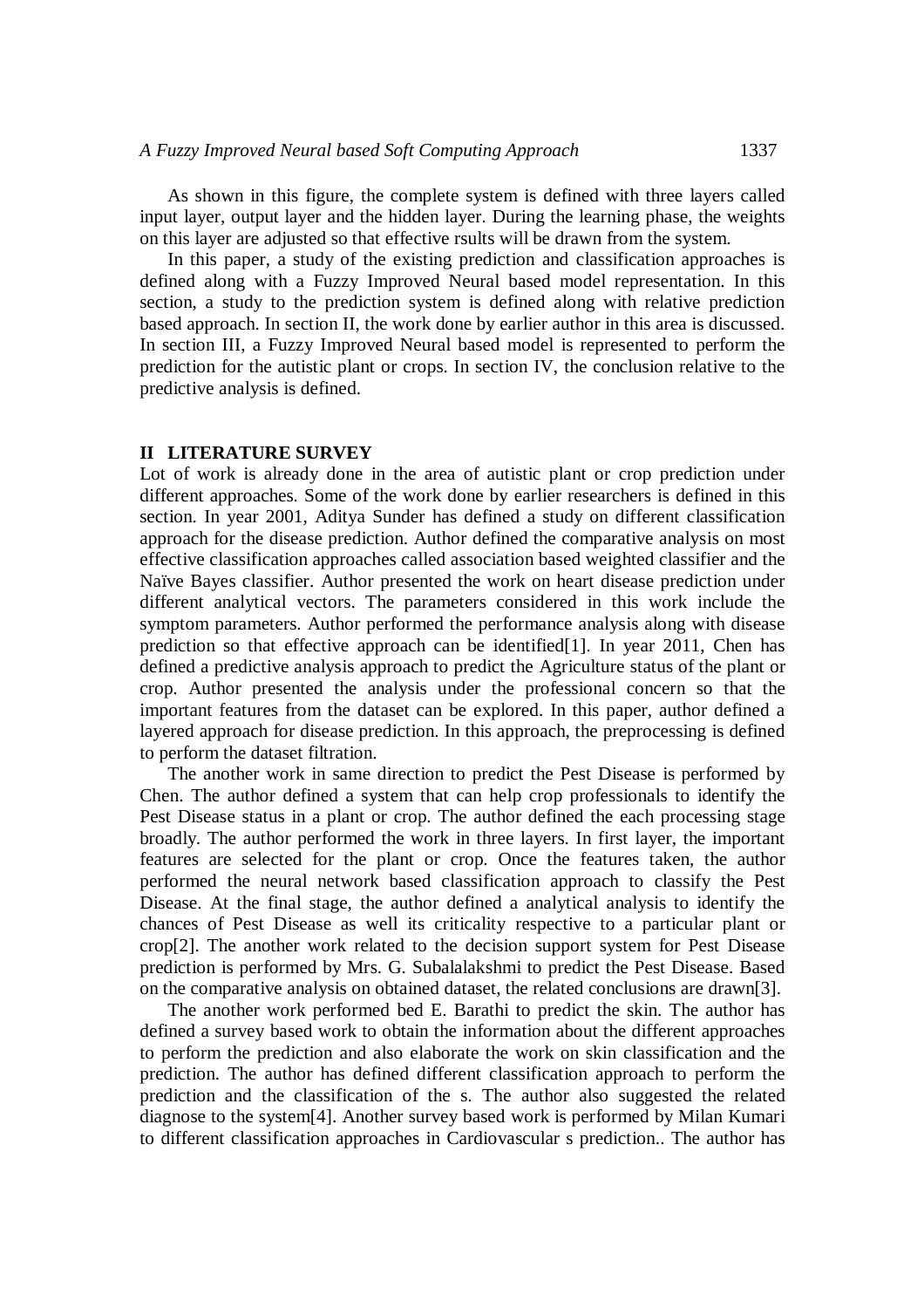As shown in this figure, the complete system is defined with three layers called input layer, output layer and the hidden layer. During the learning phase, the weights on this layer are adjusted so that effective rsults will be drawn from the system.

In this paper, a study of the existing prediction and classification approaches is defined along with a Fuzzy Improved Neural based model representation. In this section, a study to the prediction system is defined along with relative prediction based approach. In section II, the work done by earlier author in this area is discussed. In section III, a Fuzzy Improved Neural based model is represented to perform the prediction for the autistic plant or crops. In section IV, the conclusion relative to the predictive analysis is defined.

### **II LITERATURE SURVEY**

Lot of work is already done in the area of autistic plant or crop prediction under different approaches. Some of the work done by earlier researchers is defined in this section. In year 2001, Aditya Sunder has defined a study on different classification approach for the disease prediction. Author defined the comparative analysis on most effective classification approaches called association based weighted classifier and the Naïve Bayes classifier. Author presented the work on heart disease prediction under different analytical vectors. The parameters considered in this work include the symptom parameters. Author performed the performance analysis along with disease prediction so that effective approach can be identified[1]. In year 2011, Chen has defined a predictive analysis approach to predict the Agriculture status of the plant or crop. Author presented the analysis under the professional concern so that the important features from the dataset can be explored. In this paper, author defined a layered approach for disease prediction. In this approach, the preprocessing is defined to perform the dataset filtration.

The another work in same direction to predict the Pest Disease is performed by Chen. The author defined a system that can help crop professionals to identify the Pest Disease status in a plant or crop. The author defined the each processing stage broadly. The author performed the work in three layers. In first layer, the important features are selected for the plant or crop. Once the features taken, the author performed the neural network based classification approach to classify the Pest Disease. At the final stage, the author defined a analytical analysis to identify the chances of Pest Disease as well its criticality respective to a particular plant or crop[2]. The another work related to the decision support system for Pest Disease prediction is performed by Mrs. G. Subalalakshmi to predict the Pest Disease. Based on the comparative analysis on obtained dataset, the related conclusions are drawn[3].

The another work performed bed E. Barathi to predict the skin. The author has defined a survey based work to obtain the information about the different approaches to perform the prediction and also elaborate the work on skin classification and the prediction. The author has defined different classification approach to perform the prediction and the classification of the s. The author also suggested the related diagnose to the system[4]. Another survey based work is performed by Milan Kumari to different classification approaches in Cardiovascular s prediction.. The author has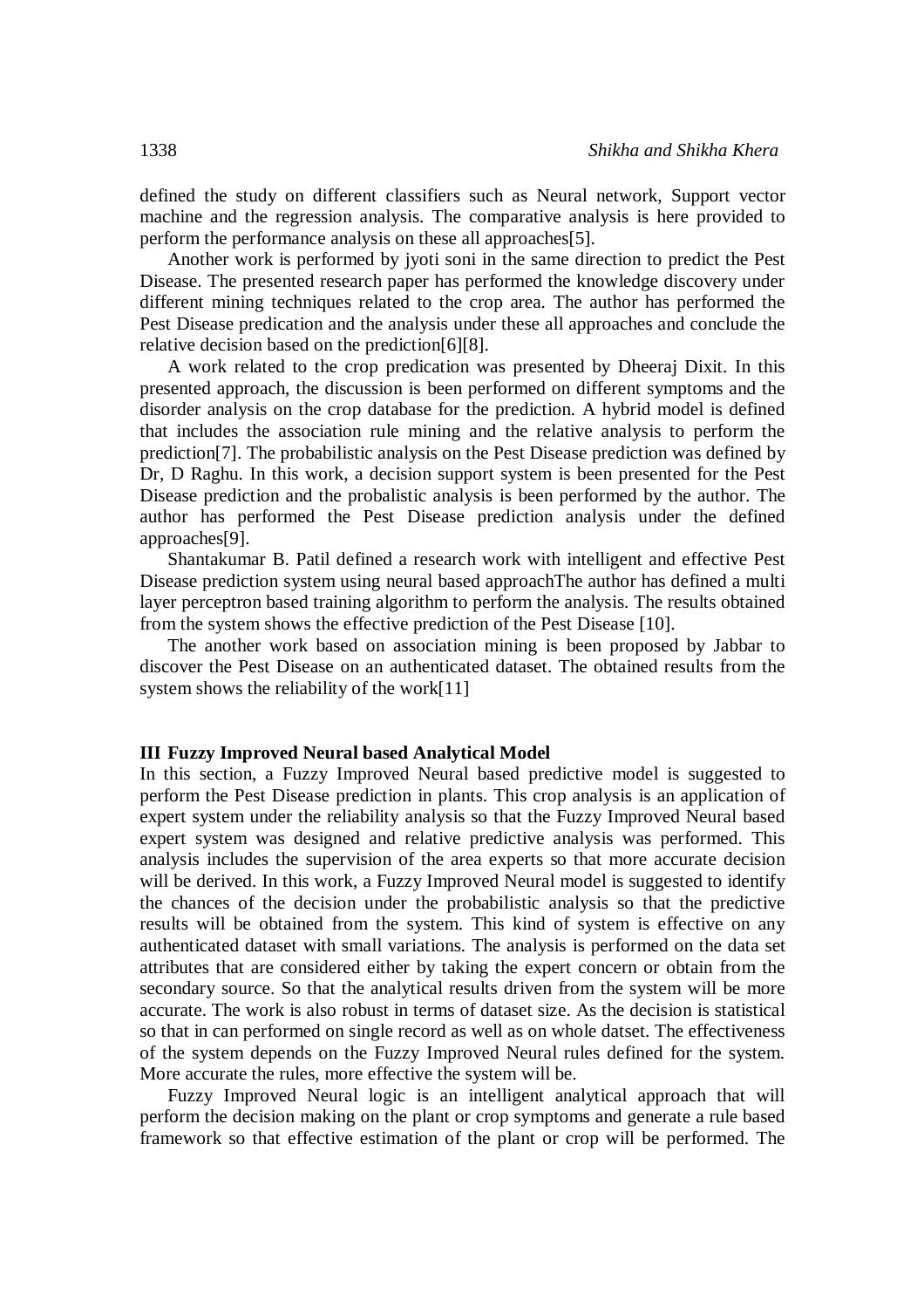defined the study on different classifiers such as Neural network, Support vector machine and the regression analysis. The comparative analysis is here provided to perform the performance analysis on these all approaches[5].

Another work is performed by jyoti soni in the same direction to predict the Pest Disease. The presented research paper has performed the knowledge discovery under different mining techniques related to the crop area. The author has performed the Pest Disease predication and the analysis under these all approaches and conclude the relative decision based on the prediction[6][8].

A work related to the crop predication was presented by Dheeraj Dixit. In this presented approach, the discussion is been performed on different symptoms and the disorder analysis on the crop database for the prediction. A hybrid model is defined that includes the association rule mining and the relative analysis to perform the prediction[7]. The probabilistic analysis on the Pest Disease prediction was defined by Dr, D Raghu. In this work, a decision support system is been presented for the Pest Disease prediction and the probalistic analysis is been performed by the author. The author has performed the Pest Disease prediction analysis under the defined approaches[9].

Shantakumar B. Patil defined a research work with intelligent and effective Pest Disease prediction system using neural based approachThe author has defined a multi layer perceptron based training algorithm to perform the analysis. The results obtained from the system shows the effective prediction of the Pest Disease [10].

The another work based on association mining is been proposed by Jabbar to discover the Pest Disease on an authenticated dataset. The obtained results from the system shows the reliability of the work[11]

#### **III Fuzzy Improved Neural based Analytical Model**

In this section, a Fuzzy Improved Neural based predictive model is suggested to perform the Pest Disease prediction in plants. This crop analysis is an application of expert system under the reliability analysis so that the Fuzzy Improved Neural based expert system was designed and relative predictive analysis was performed. This analysis includes the supervision of the area experts so that more accurate decision will be derived. In this work, a Fuzzy Improved Neural model is suggested to identify the chances of the decision under the probabilistic analysis so that the predictive results will be obtained from the system. This kind of system is effective on any authenticated dataset with small variations. The analysis is performed on the data set attributes that are considered either by taking the expert concern or obtain from the secondary source. So that the analytical results driven from the system will be more accurate. The work is also robust in terms of dataset size. As the decision is statistical so that in can performed on single record as well as on whole datset. The effectiveness of the system depends on the Fuzzy Improved Neural rules defined for the system. More accurate the rules, more effective the system will be.

Fuzzy Improved Neural logic is an intelligent analytical approach that will perform the decision making on the plant or crop symptoms and generate a rule based framework so that effective estimation of the plant or crop will be performed. The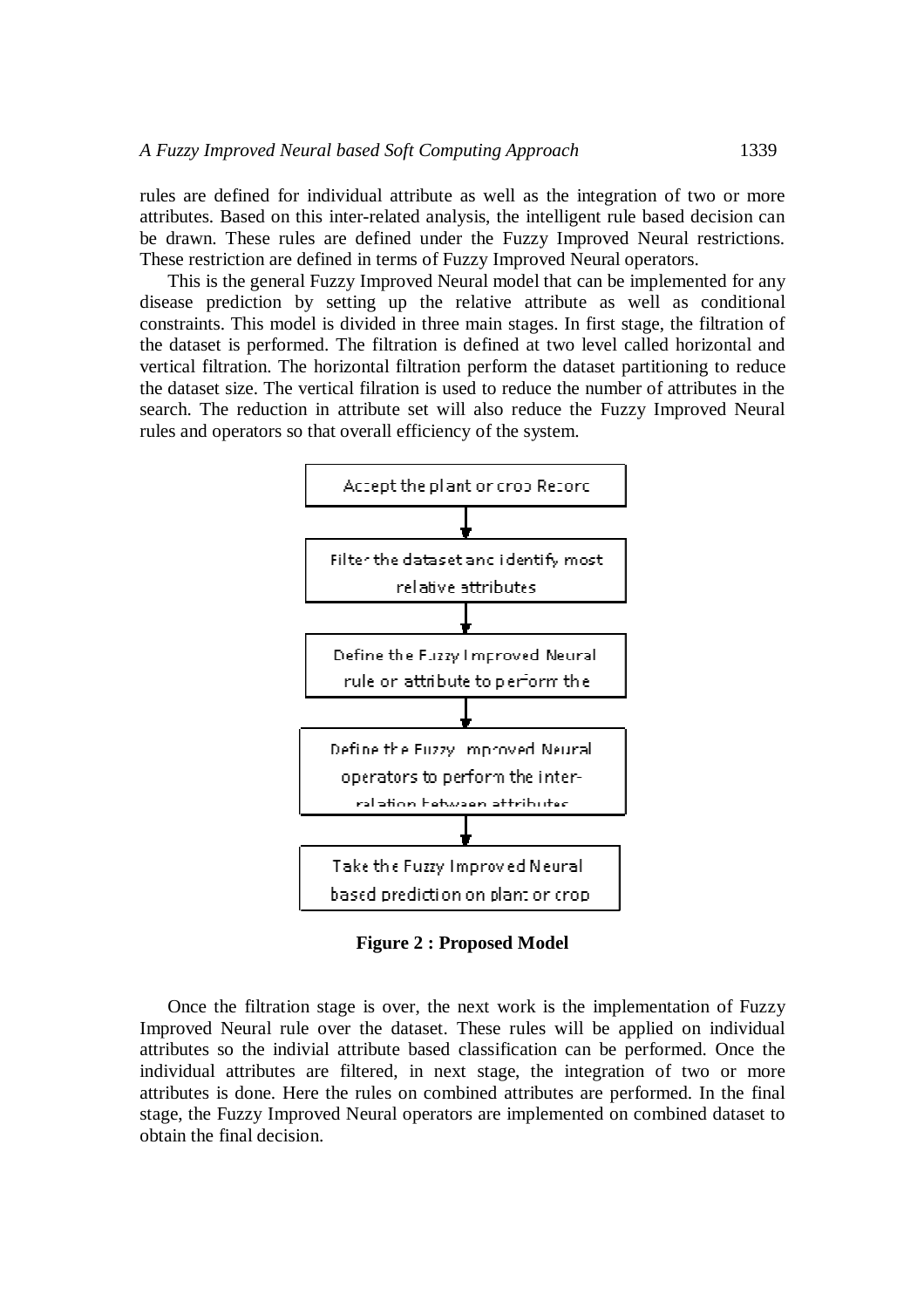rules are defined for individual attribute as well as the integration of two or more attributes. Based on this inter-related analysis, the intelligent rule based decision can be drawn. These rules are defined under the Fuzzy Improved Neural restrictions. These restriction are defined in terms of Fuzzy Improved Neural operators.

This is the general Fuzzy Improved Neural model that can be implemented for any disease prediction by setting up the relative attribute as well as conditional constraints. This model is divided in three main stages. In first stage, the filtration of the dataset is performed. The filtration is defined at two level called horizontal and vertical filtration. The horizontal filtration perform the dataset partitioning to reduce the dataset size. The vertical filration is used to reduce the number of attributes in the search. The reduction in attribute set will also reduce the Fuzzy Improved Neural rules and operators so that overall efficiency of the system.



**Figure 2 : Proposed Model**

Once the filtration stage is over, the next work is the implementation of Fuzzy Improved Neural rule over the dataset. These rules will be applied on individual attributes so the indivial attribute based classification can be performed. Once the individual attributes are filtered, in next stage, the integration of two or more attributes is done. Here the rules on combined attributes are performed. In the final stage, the Fuzzy Improved Neural operators are implemented on combined dataset to obtain the final decision.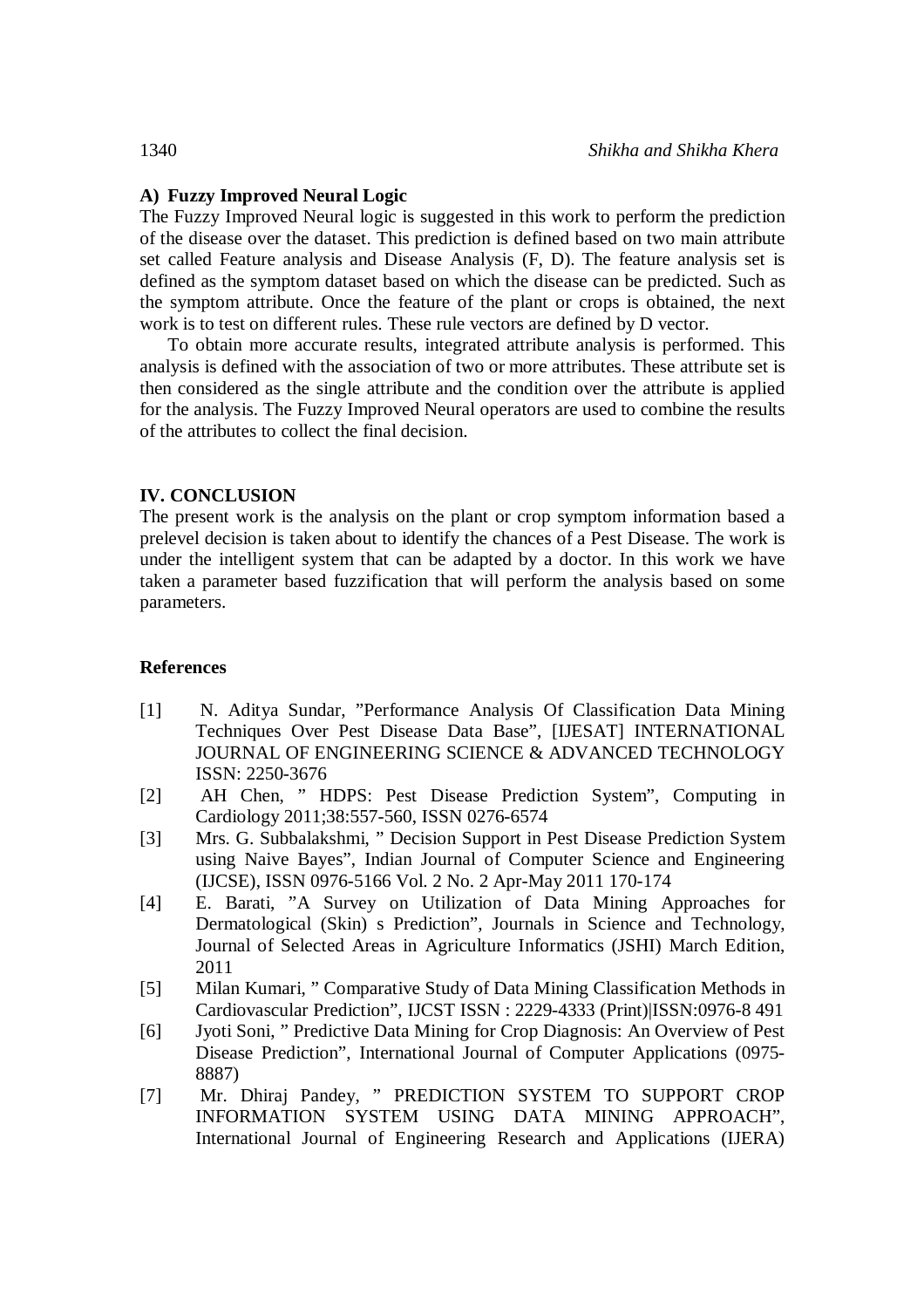# **A) Fuzzy Improved Neural Logic**

The Fuzzy Improved Neural logic is suggested in this work to perform the prediction of the disease over the dataset. This prediction is defined based on two main attribute set called Feature analysis and Disease Analysis (F, D). The feature analysis set is defined as the symptom dataset based on which the disease can be predicted. Such as the symptom attribute. Once the feature of the plant or crops is obtained, the next work is to test on different rules. These rule vectors are defined by D vector.

To obtain more accurate results, integrated attribute analysis is performed. This analysis is defined with the association of two or more attributes. These attribute set is then considered as the single attribute and the condition over the attribute is applied for the analysis. The Fuzzy Improved Neural operators are used to combine the results of the attributes to collect the final decision.

## **IV. CONCLUSION**

The present work is the analysis on the plant or crop symptom information based a prelevel decision is taken about to identify the chances of a Pest Disease. The work is under the intelligent system that can be adapted by a doctor. In this work we have taken a parameter based fuzzification that will perform the analysis based on some parameters.

### **References**

- [1] N. Aditya Sundar, "Performance Analysis Of Classification Data Mining Techniques Over Pest Disease Data Base", [IJESAT] INTERNATIONAL JOURNAL OF ENGINEERING SCIENCE & ADVANCED TECHNOLOGY ISSN: 2250-3676
- [2] AH Chen, " HDPS: Pest Disease Prediction System", Computing in Cardiology 2011;38:557-560, ISSN 0276-6574
- [3] Mrs. G. Subbalakshmi, " Decision Support in Pest Disease Prediction System using Naive Bayes", Indian Journal of Computer Science and Engineering (IJCSE), ISSN 0976-5166 Vol. 2 No. 2 Apr-May 2011 170-174
- [4] E. Barati, "A Survey on Utilization of Data Mining Approaches for Dermatological (Skin) s Prediction", Journals in Science and Technology, Journal of Selected Areas in Agriculture Informatics (JSHI) March Edition, 2011
- [5] Milan Kumari, " Comparative Study of Data Mining Classification Methods in Cardiovascular Prediction", IJCST ISSN : 2229-4333 (Print)|ISSN:0976-8 491
- [6] Jyoti Soni, " Predictive Data Mining for Crop Diagnosis: An Overview of Pest Disease Prediction", International Journal of Computer Applications (0975- 8887)
- [7] Mr. Dhiraj Pandey, " PREDICTION SYSTEM TO SUPPORT CROP INFORMATION SYSTEM USING DATA MINING APPROACH", International Journal of Engineering Research and Applications (IJERA)